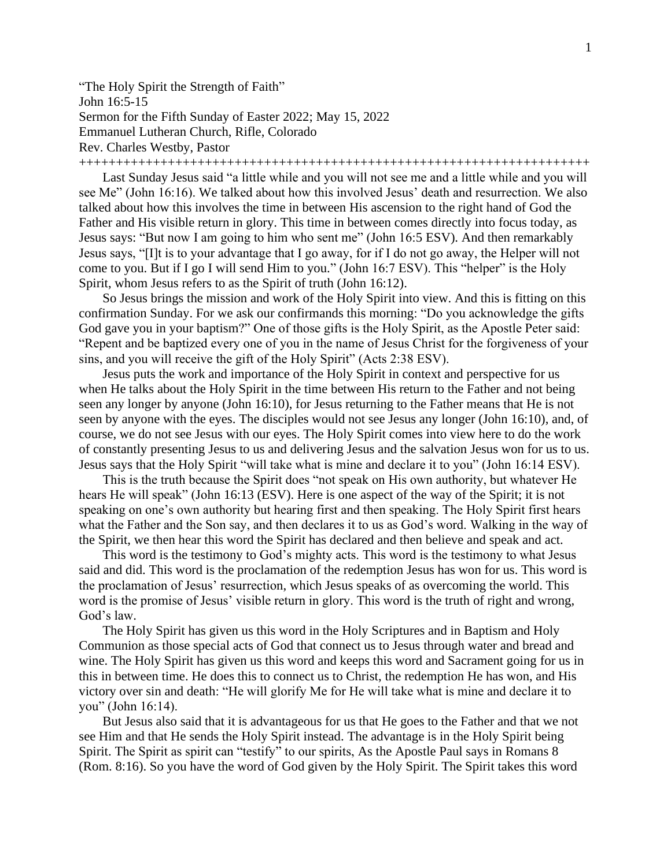"The Holy Spirit the Strength of Faith" John 16:5-15 Sermon for the Fifth Sunday of Easter 2022; May 15, 2022 Emmanuel Lutheran Church, Rifle, Colorado Rev. Charles Westby, Pastor

+++++++++++++++++++++++++++++++++++++++++++++++++++++++++++++++++++++

Last Sunday Jesus said "a little while and you will not see me and a little while and you will see Me" (John 16:16). We talked about how this involved Jesus' death and resurrection. We also talked about how this involves the time in between His ascension to the right hand of God the Father and His visible return in glory. This time in between comes directly into focus today, as Jesus says: "But now I am going to him who sent me" (John 16:5 ESV). And then remarkably Jesus says, "[I]t is to your advantage that I go away, for if I do not go away, the Helper will not come to you. But if I go I will send Him to you." (John 16:7 ESV). This "helper" is the Holy Spirit, whom Jesus refers to as the Spirit of truth (John 16:12).

So Jesus brings the mission and work of the Holy Spirit into view. And this is fitting on this confirmation Sunday. For we ask our confirmands this morning: "Do you acknowledge the gifts God gave you in your baptism?" One of those gifts is the Holy Spirit, as the Apostle Peter said: "Repent and be baptized every one of you in the name of Jesus Christ for the forgiveness of your sins, and you will receive the gift of the Holy Spirit" (Acts 2:38 ESV).

Jesus puts the work and importance of the Holy Spirit in context and perspective for us when He talks about the Holy Spirit in the time between His return to the Father and not being seen any longer by anyone (John 16:10), for Jesus returning to the Father means that He is not seen by anyone with the eyes. The disciples would not see Jesus any longer (John 16:10), and, of course, we do not see Jesus with our eyes. The Holy Spirit comes into view here to do the work of constantly presenting Jesus to us and delivering Jesus and the salvation Jesus won for us to us. Jesus says that the Holy Spirit "will take what is mine and declare it to you" (John 16:14 ESV).

This is the truth because the Spirit does "not speak on His own authority, but whatever He hears He will speak" (John 16:13 (ESV). Here is one aspect of the way of the Spirit; it is not speaking on one's own authority but hearing first and then speaking. The Holy Spirit first hears what the Father and the Son say, and then declares it to us as God's word. Walking in the way of the Spirit, we then hear this word the Spirit has declared and then believe and speak and act.

This word is the testimony to God's mighty acts. This word is the testimony to what Jesus said and did. This word is the proclamation of the redemption Jesus has won for us. This word is the proclamation of Jesus' resurrection, which Jesus speaks of as overcoming the world. This word is the promise of Jesus' visible return in glory. This word is the truth of right and wrong, God's law.

The Holy Spirit has given us this word in the Holy Scriptures and in Baptism and Holy Communion as those special acts of God that connect us to Jesus through water and bread and wine. The Holy Spirit has given us this word and keeps this word and Sacrament going for us in this in between time. He does this to connect us to Christ, the redemption He has won, and His victory over sin and death: "He will glorify Me for He will take what is mine and declare it to you" (John 16:14).

But Jesus also said that it is advantageous for us that He goes to the Father and that we not see Him and that He sends the Holy Spirit instead. The advantage is in the Holy Spirit being Spirit. The Spirit as spirit can "testify" to our spirits, As the Apostle Paul says in Romans 8 (Rom. 8:16). So you have the word of God given by the Holy Spirit. The Spirit takes this word